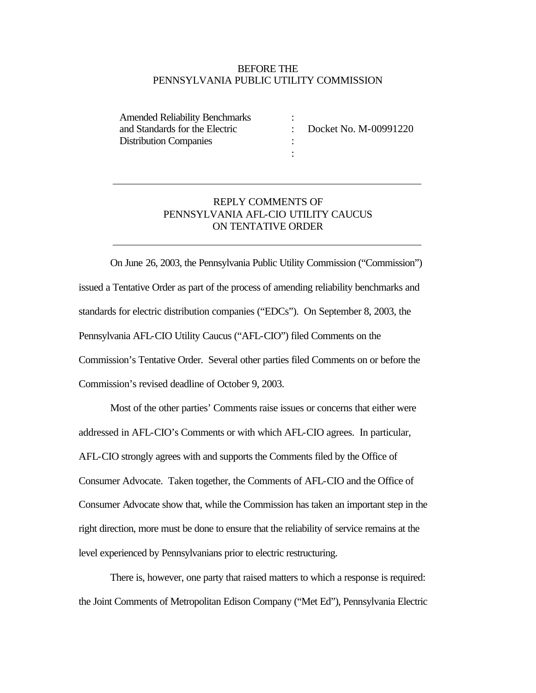## BEFORE THE PENNSYLVANIA PUBLIC UTILITY COMMISSION

:

: :

Amended Reliability Benchmarks and Standards for the Electric Distribution Companies

: Docket No. M-00991220

## REPLY COMMENTS OF PENNSYLVANIA AFL-CIO UTILITY CAUCUS ON TENTATIVE ORDER

On June 26, 2003, the Pennsylvania Public Utility Commission ("Commission") issued a Tentative Order as part of the process of amending reliability benchmarks and standards for electric distribution companies ("EDCs"). On September 8, 2003, the Pennsylvania AFL-CIO Utility Caucus ("AFL-CIO") filed Comments on the Commission's Tentative Order. Several other parties filed Comments on or before the Commission's revised deadline of October 9, 2003.

Most of the other parties' Comments raise issues or concerns that either were addressed in AFL-CIO's Comments or with which AFL-CIO agrees. In particular, AFL-CIO strongly agrees with and supports the Comments filed by the Office of Consumer Advocate. Taken together, the Comments of AFL-CIO and the Office of Consumer Advocate show that, while the Commission has taken an important step in the right direction, more must be done to ensure that the reliability of service remains at the level experienced by Pennsylvanians prior to electric restructuring.

There is, however, one party that raised matters to which a response is required: the Joint Comments of Metropolitan Edison Company ("Met Ed"), Pennsylvania Electric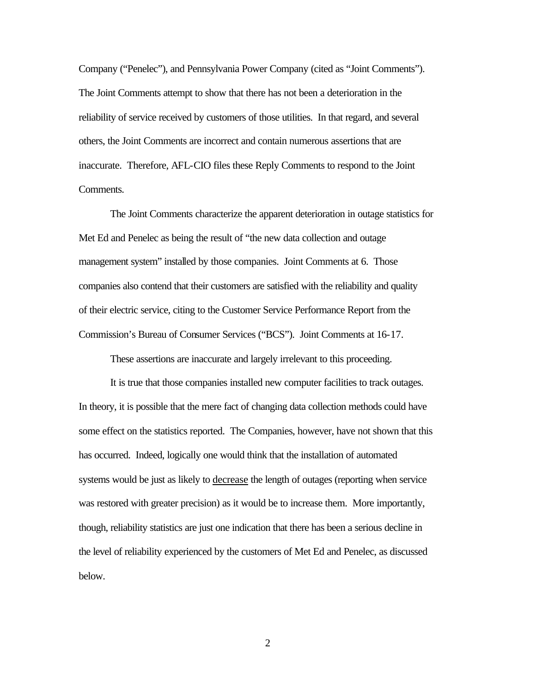Company ("Penelec"), and Pennsylvania Power Company (cited as "Joint Comments"). The Joint Comments attempt to show that there has not been a deterioration in the reliability of service received by customers of those utilities. In that regard, and several others, the Joint Comments are incorrect and contain numerous assertions that are inaccurate. Therefore, AFL-CIO files these Reply Comments to respond to the Joint Comments.

The Joint Comments characterize the apparent deterioration in outage statistics for Met Ed and Penelec as being the result of "the new data collection and outage management system" installed by those companies. Joint Comments at 6. Those companies also contend that their customers are satisfied with the reliability and quality of their electric service, citing to the Customer Service Performance Report from the Commission's Bureau of Consumer Services ("BCS"). Joint Comments at 16-17.

These assertions are inaccurate and largely irrelevant to this proceeding.

It is true that those companies installed new computer facilities to track outages. In theory, it is possible that the mere fact of changing data collection methods could have some effect on the statistics reported. The Companies, however, have not shown that this has occurred. Indeed, logically one would think that the installation of automated systems would be just as likely to decrease the length of outages (reporting when service was restored with greater precision) as it would be to increase them. More importantly, though, reliability statistics are just one indication that there has been a serious decline in the level of reliability experienced by the customers of Met Ed and Penelec, as discussed below.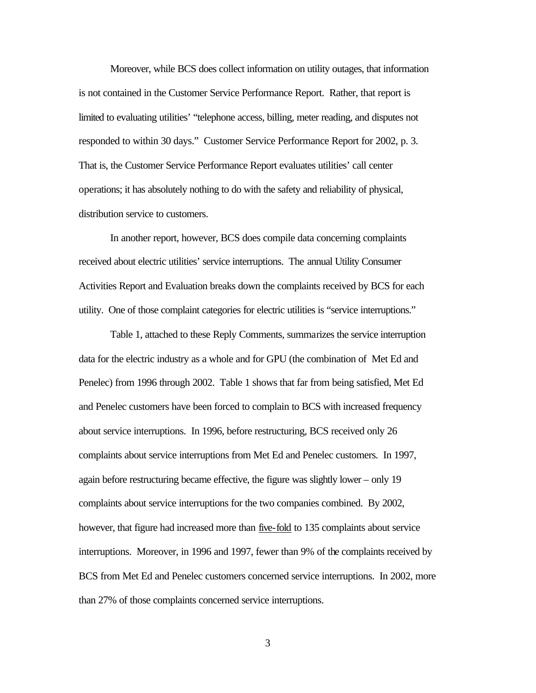Moreover, while BCS does collect information on utility outages, that information is not contained in the Customer Service Performance Report. Rather, that report is limited to evaluating utilities' "telephone access, billing, meter reading, and disputes not responded to within 30 days." Customer Service Performance Report for 2002, p. 3. That is, the Customer Service Performance Report evaluates utilities' call center operations; it has absolutely nothing to do with the safety and reliability of physical, distribution service to customers.

In another report, however, BCS does compile data concerning complaints received about electric utilities' service interruptions. The annual Utility Consumer Activities Report and Evaluation breaks down the complaints received by BCS for each utility. One of those complaint categories for electric utilities is "service interruptions."

Table 1, attached to these Reply Comments, summarizes the service interruption data for the electric industry as a whole and for GPU (the combination of Met Ed and Penelec) from 1996 through 2002. Table 1 shows that far from being satisfied, Met Ed and Penelec customers have been forced to complain to BCS with increased frequency about service interruptions. In 1996, before restructuring, BCS received only 26 complaints about service interruptions from Met Ed and Penelec customers. In 1997, again before restructuring became effective, the figure was slightly lower – only 19 complaints about service interruptions for the two companies combined. By 2002, however, that figure had increased more than five-fold to 135 complaints about service interruptions. Moreover, in 1996 and 1997, fewer than 9% of the complaints received by BCS from Met Ed and Penelec customers concerned service interruptions. In 2002, more than 27% of those complaints concerned service interruptions.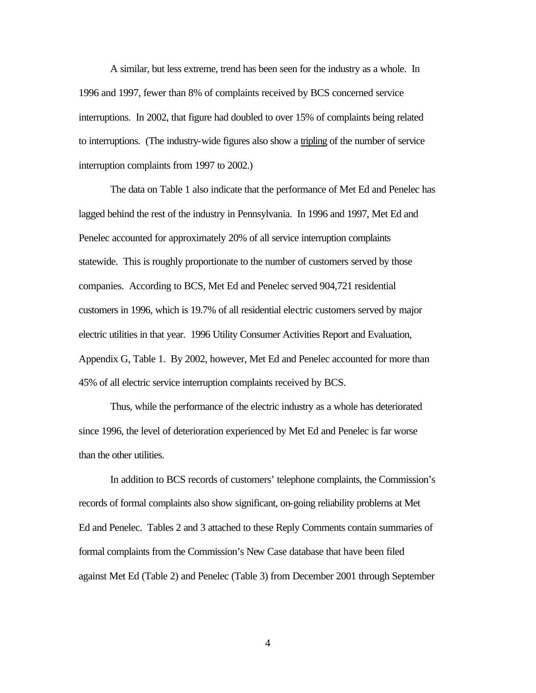A similar, but less extreme, trend has been seen for the industry as a whole. In 1996 and 1997, fewer than 8% of complaints received by BCS concerned service interruptions. In 2002, that figure had doubled to over 15% of complaints being related to interruptions. (The industry-wide figures also show a tripling of the number of service interruption complaints from 1997 to 2002.)

The data on Table 1 also indicate that the performance of Met Ed and Penelec has lagged behind the rest of the industry in Pennsylvania. In 1996 and 1997, Met Ed and Penelec accounted for approximately 20% of all service interruption complaints statewide. This is roughly proportionate to the number of customers served by those companies. According to BCS, Met Ed and Penelec served 904,721 residential customers in 1996, which is 19.7% of all residential electric customers served by major electric utilities in that year. 1996 Utility Consumer Activities Report and Evaluation, Appendix G, Table 1. By 2002, however, Met Ed and Penelec accounted for more than 45% of all electric service interruption complaints received by BCS.

Thus, while the performance of the electric industry as a whole has deteriorated since 1996, the level of deterioration experienced by Met Ed and Penelec is far worse than the other utilities.

In addition to BCS records of customers' telephone complaints, the Commission's records of formal complaints also show significant, on-going reliability problems at Met Ed and Penelec. Tables 2 and 3 attached to these Reply Comments contain summaries of formal complaints from the Commission's New Case database that have been filed against Met Ed (Table 2) and Penelec (Table 3) from December 2001 through September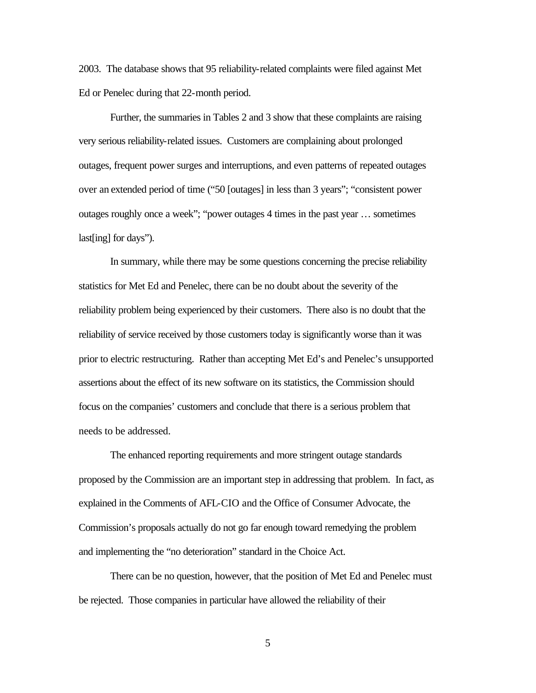2003. The database shows that 95 reliability-related complaints were filed against Met Ed or Penelec during that 22-month period.

Further, the summaries in Tables 2 and 3 show that these complaints are raising very serious reliability-related issues. Customers are complaining about prolonged outages, frequent power surges and interruptions, and even patterns of repeated outages over an extended period of time ("50 [outages] in less than 3 years"; "consistent power outages roughly once a week"; "power outages 4 times in the past year … sometimes last[ing] for days").

In summary, while there may be some questions concerning the precise reliability statistics for Met Ed and Penelec, there can be no doubt about the severity of the reliability problem being experienced by their customers. There also is no doubt that the reliability of service received by those customers today is significantly worse than it was prior to electric restructuring. Rather than accepting Met Ed's and Penelec's unsupported assertions about the effect of its new software on its statistics, the Commission should focus on the companies' customers and conclude that there is a serious problem that needs to be addressed.

The enhanced reporting requirements and more stringent outage standards proposed by the Commission are an important step in addressing that problem. In fact, as explained in the Comments of AFL-CIO and the Office of Consumer Advocate, the Commission's proposals actually do not go far enough toward remedying the problem and implementing the "no deterioration" standard in the Choice Act.

There can be no question, however, that the position of Met Ed and Penelec must be rejected. Those companies in particular have allowed the reliability of their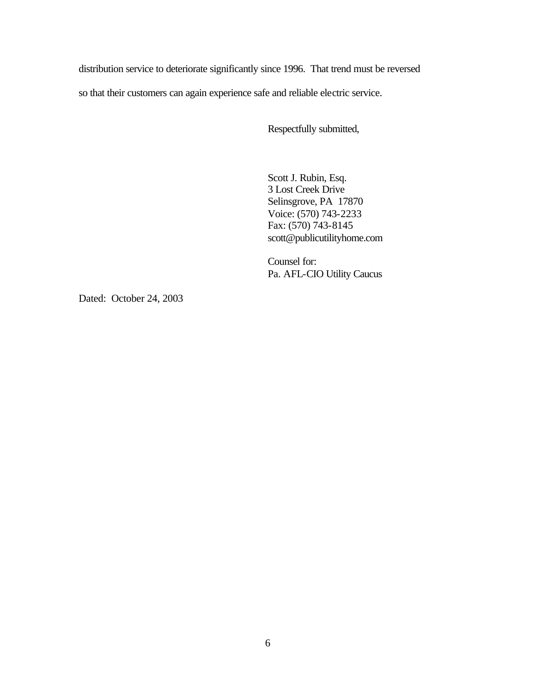distribution service to deteriorate significantly since 1996. That trend must be reversed

so that their customers can again experience safe and reliable electric service.

Respectfully submitted,

Scott J. Rubin, Esq. 3 Lost Creek Drive Selinsgrove, PA 17870 Voice: (570) 743-2233 Fax: (570) 743-8145 scott@publicutilityhome.com

Counsel for: Pa. AFL-CIO Utility Caucus

Dated: October 24, 2003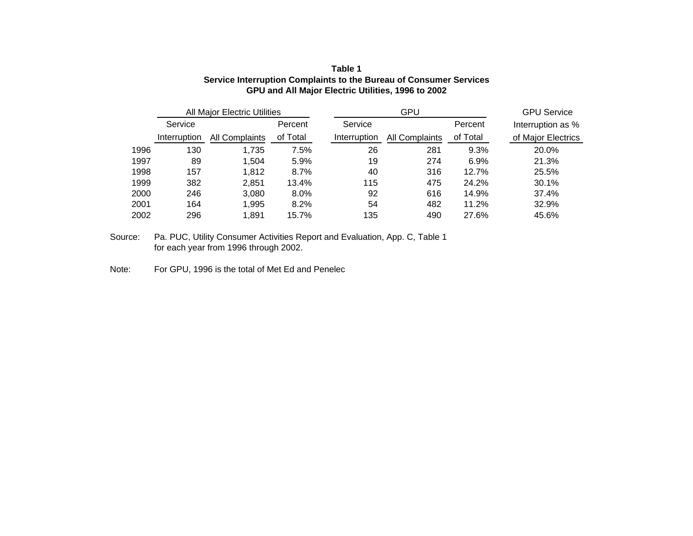| Table 1                                                            |
|--------------------------------------------------------------------|
| Service Interruption Complaints to the Bureau of Consumer Services |
| GPU and All Major Electric Utilities, 1996 to 2002                 |

|      |              | <b>All Major Electric Utilities</b> |          | GPU          |                |          | <b>GPU Service</b> |
|------|--------------|-------------------------------------|----------|--------------|----------------|----------|--------------------|
|      | Service      |                                     | Percent  | Service      |                | Percent  | Interruption as %  |
|      | Interruption | All Complaints                      | of Total | Interruption | All Complaints | of Total | of Major Electrics |
| 1996 | 130          | 1.735                               | 7.5%     | 26           | 281            | 9.3%     | 20.0%              |
| 1997 | 89           | 1.504                               | 5.9%     | 19           | 274            | 6.9%     | 21.3%              |
| 1998 | 157          | 1,812                               | 8.7%     | 40           | 316            | 12.7%    | 25.5%              |
| 1999 | 382          | 2.851                               | 13.4%    | 115          | 475            | 24.2%    | 30.1%              |
| 2000 | 246          | 3.080                               | 8.0%     | 92           | 616            | 14.9%    | 37.4%              |
| 2001 | 164          | 1,995                               | 8.2%     | 54           | 482            | 11.2%    | 32.9%              |
| 2002 | 296          | 1.891                               | 15.7%    | 135          | 490            | 27.6%    | 45.6%              |

Source: Pa. PUC, Utility Consumer Activities Report and Evaluation, App. C, Table 1 for each year from 1996 through 2002.

Note: For GPU, 1996 is the total of Met Ed and Penelec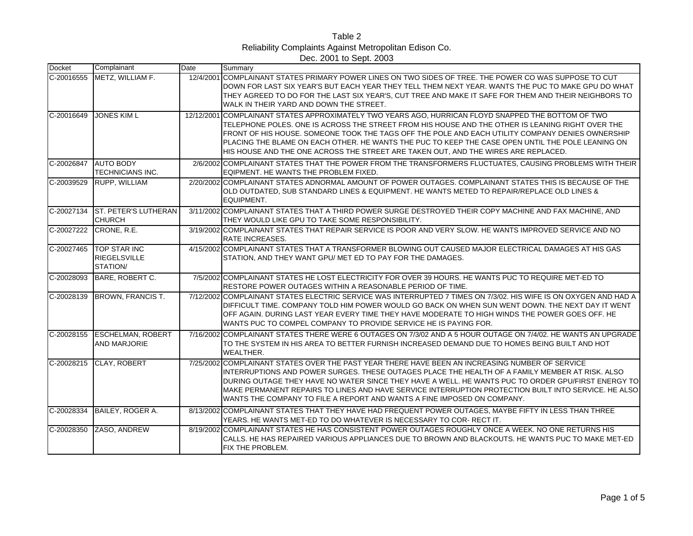| Table 2                                                |
|--------------------------------------------------------|
| Reliability Complaints Against Metropolitan Edison Co. |
| Dec. 2001 to Sept. 2003                                |

| <b>Docket</b> | Complainant                                            | Date | Summary                                                                                                                                                                                                                                                                                                                                                                                                                                                                                                |
|---------------|--------------------------------------------------------|------|--------------------------------------------------------------------------------------------------------------------------------------------------------------------------------------------------------------------------------------------------------------------------------------------------------------------------------------------------------------------------------------------------------------------------------------------------------------------------------------------------------|
| C-20016555    | METZ, WILLIAM F.                                       |      | 12/4/2001 COMPLAINANT STATES PRIMARY POWER LINES ON TWO SIDES OF TREE. THE POWER CO WAS SUPPOSE TO CUT<br>DOWN FOR LAST SIX YEAR'S BUT EACH YEAR THEY TELL THEM NEXT YEAR. WANTS THE PUC TO MAKE GPU DO WHAT<br>THEY AGREED TO DO FOR THE LAST SIX YEAR'S, CUT TREE AND MAKE IT SAFE FOR THEM AND THEIR NEIGHBORS TO<br>WALK IN THEIR YARD AND DOWN THE STREET.                                                                                                                                        |
| C-20016649    | <b>JONES KIM L</b>                                     |      | 12/12/2001 COMPLAINANT STATES APPROXIMATELY TWO YEARS AGO, HURRICAN FLOYD SNAPPED THE BOTTOM OF TWO<br>TELEPHONE POLES. ONE IS ACROSS THE STREET FROM HIS HOUSE AND THE OTHER IS LEANING RIGHT OVER THE<br>FRONT OF HIS HOUSE. SOMEONE TOOK THE TAGS OFF THE POLE AND EACH UTILITY COMPANY DENIES OWNERSHIP<br>PLACING THE BLAME ON EACH OTHER. HE WANTS THE PUC TO KEEP THE CASE OPEN UNTIL THE POLE LEANING ON<br>HIS HOUSE AND THE ONE ACROSS THE STREET ARE TAKEN OUT, AND THE WIRES ARE REPLACED. |
| C-20026847    | <b>AUTO BODY</b><br><b>TECHNICIANS INC.</b>            |      | 2/6/2002 COMPLAINANT STATES THAT THE POWER FROM THE TRANSFORMERS FLUCTUATES. CAUSING PROBLEMS WITH THEIR<br>EQIPMENT. HE WANTS THE PROBLEM FIXED.                                                                                                                                                                                                                                                                                                                                                      |
| C-20039529    | RUPP, WILLIAM                                          |      | 2/20/2002 COMPLAINANT STATES ADNORMAL AMOUNT OF POWER OUTAGES. COMPLAINANT STATES THIS IS BECAUSE OF THE<br>OLD OUTDATED. SUB STANDARD LINES & EQUIPMENT. HE WANTS METED TO REPAIR/REPLACE OLD LINES &<br>EQUIPMENT.                                                                                                                                                                                                                                                                                   |
| C-20027134    | <b>IST. PETER'S LUTHERAN</b><br><b>CHURCH</b>          |      | 3/11/2002 COMPLAINANT STATES THAT A THIRD POWER SURGE DESTROYED THEIR COPY MACHINE AND FAX MACHINE, AND<br>THEY WOULD LIKE GPU TO TAKE SOME RESPONSIBILITY.                                                                                                                                                                                                                                                                                                                                            |
| C-20027222    | CRONE, R.E.                                            |      | 3/19/2002 COMPLAINANT STATES THAT REPAIR SERVICE IS POOR AND VERY SLOW. HE WANTS IMPROVED SERVICE AND NO<br><b>RATE INCREASES.</b>                                                                                                                                                                                                                                                                                                                                                                     |
| C-20027465    | <b>TOP STAR INC</b><br><b>RIEGELSVILLE</b><br>STATION/ |      | 4/15/2002 COMPLAINANT STATES THAT A TRANSFORMER BLOWING OUT CAUSED MAJOR ELECTRICAL DAMAGES AT HIS GAS<br>STATION, AND THEY WANT GPU/ MET ED TO PAY FOR THE DAMAGES.                                                                                                                                                                                                                                                                                                                                   |
| C-20028093    | BARE, ROBERT C.                                        |      | 7/5/2002 COMPLAINANT STATES HE LOST ELECTRICITY FOR OVER 39 HOURS. HE WANTS PUC TO REQUIRE MET-ED TO<br>RESTORE POWER OUTAGES WITHIN A REASONABLE PERIOD OF TIME.                                                                                                                                                                                                                                                                                                                                      |
| C-20028139    | <b>BROWN, FRANCIS T.</b>                               |      | 7/12/2002 COMPLAINANT STATES ELECTRIC SERVICE WAS INTERRUPTED 7 TIMES ON 7/3/02. HIS WIFE IS ON OXYGEN AND HAD A<br>DIFFICULT TIME. COMPANY TOLD HIM POWER WOULD GO BACK ON WHEN SUN WENT DOWN. THE NEXT DAY IT WENT<br>OFF AGAIN. DURING LAST YEAR EVERY TIME THEY HAVE MODERATE TO HIGH WINDS THE POWER GOES OFF. HE<br>WANTS PUC TO COMPEL COMPANY TO PROVIDE SERVICE HE IS PAYING FOR.                                                                                                             |
| C-20028155    | <b>ESCHELMAN, ROBERT</b><br><b>AND MARJORIE</b>        |      | 7/16/2002 COMPLAINANT STATES THERE WERE 6 OUTAGES ON 7/3/02 AND A 5 HOUR OUTAGE ON 7/4/02. HE WANTS AN UPGRADE<br>TO THE SYSTEM IN HIS AREA TO BETTER FURNISH INCREASED DEMAND DUE TO HOMES BEING BUILT AND HOT<br>WEALTHER.                                                                                                                                                                                                                                                                           |
| C-20028215    | CLAY, ROBERT                                           |      | 7/25/2002 COMPLAINANT STATES OVER THE PAST YEAR THERE HAVE BEEN AN INCREASING NUMBER OF SERVICE<br>INTERRUPTIONS AND POWER SURGES. THESE OUTAGES PLACE THE HEALTH OF A FAMILY MEMBER AT RISK. ALSO<br>DURING OUTAGE THEY HAVE NO WATER SINCE THEY HAVE A WELL. HE WANTS PUC TO ORDER GPU/FIRST ENERGY TO<br>MAKE PERMANENT REPAIRS TO LINES AND HAVE SERVICE INTERRUPTION PROTECTION BUILT INTO SERVICE. HE ALSO<br>WANTS THE COMPANY TO FILE A REPORT AND WANTS A FINE IMPOSED ON COMPANY.            |
| C-20028334    | BAILEY, ROGER A.                                       |      | 8/13/2002 COMPLAINANT STATES THAT THEY HAVE HAD FREQUENT POWER OUTAGES. MAYBE FIFTY IN LESS THAN THREE<br>YEARS. HE WANTS MET-ED TO DO WHATEVER IS NECESSARY TO COR- RECT IT.                                                                                                                                                                                                                                                                                                                          |
| C-20028350    | ZASO, ANDREW                                           |      | 8/19/2002 COMPLAINANT STATES HE HAS CONSISTENT POWER OUTAGES ROUGHLY ONCE A WEEK. NO ONE RETURNS HIS<br>CALLS. HE HAS REPAIRED VARIOUS APPLIANCES DUE TO BROWN AND BLACKOUTS. HE WANTS PUC TO MAKE MET-ED<br>FIX THE PROBLEM.                                                                                                                                                                                                                                                                          |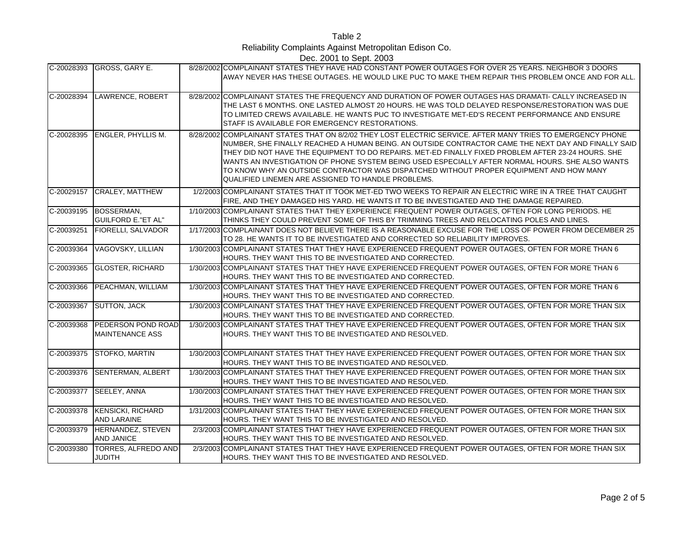Table 2 Reliability Complaints Against Metropolitan Edison Co. Dec. 2001 to Sept. 2003

|            | C-20028393 GROSS, GARY E.                      | 8/28/2002 COMPLAINANT STATES THEY HAVE HAD CONSTANT POWER OUTAGES FOR OVER 25 YEARS. NEIGHBOR 3 DOORS<br>AWAY NEVER HAS THESE OUTAGES. HE WOULD LIKE PUC TO MAKE THEM REPAIR THIS PROBLEM ONCE AND FOR ALL.                                                                                                                                                                                                                                                                                                                                                                 |
|------------|------------------------------------------------|-----------------------------------------------------------------------------------------------------------------------------------------------------------------------------------------------------------------------------------------------------------------------------------------------------------------------------------------------------------------------------------------------------------------------------------------------------------------------------------------------------------------------------------------------------------------------------|
| C-20028394 | LAWRENCE, ROBERT                               | 8/28/2002 COMPLAINANT STATES THE FREQUENCY AND DURATION OF POWER OUTAGES HAS DRAMATI- CALLY INCREASED IN<br>THE LAST 6 MONTHS, ONE LASTED ALMOST 20 HOURS. HE WAS TOLD DELAYED RESPONSE/RESTORATION WAS DUE<br>TO LIMITED CREWS AVAILABLE. HE WANTS PUC TO INVESTIGATE MET-ED'S RECENT PERFORMANCE AND ENSURE<br>STAFF IS AVAILABLE FOR EMERGENCY RESTORATIONS.                                                                                                                                                                                                             |
|            | C-20028395 ENGLER, PHYLLIS M.                  | 8/28/2002 COMPLAINANT STATES THAT ON 8/2/02 THEY LOST ELECTRIC SERVICE. AFTER MANY TRIES TO EMERGENCY PHONE<br>NUMBER, SHE FINALLY REACHED A HUMAN BEING. AN OUTSIDE CONTRACTOR CAME THE NEXT DAY AND FINALLY SAID<br>THEY DID NOT HAVE THE EQUIPMENT TO DO REPAIRS. MET-ED FINALLY FIXED PROBLEM AFTER 23-24 HOURS. SHE<br>WANTS AN INVESTIGATION OF PHONE SYSTEM BEING USED ESPECIALLY AFTER NORMAL HOURS. SHE ALSO WANTS<br>TO KNOW WHY AN OUTSIDE CONTRACTOR WAS DISPATCHED WITHOUT PROPER EQUIPMENT AND HOW MANY<br>QUALIFIED LINEMEN ARE ASSIGNED TO HANDLE PROBLEMS. |
| C-20029157 | <b>CRALEY, MATTHEW</b>                         | 1/2/2003 COMPLAINANT STATES THAT IT TOOK MET-ED TWO WEEKS TO REPAIR AN ELECTRIC WIRE IN A TREE THAT CAUGHT<br>FIRE, AND THEY DAMAGED HIS YARD. HE WANTS IT TO BE INVESTIGATED AND THE DAMAGE REPAIRED.                                                                                                                                                                                                                                                                                                                                                                      |
| C-20039195 | BOSSERMAN,<br><b>GUILFORD E."ET AL"</b>        | 1/10/2003 COMPLAINANT STATES THAT THEY EXPERIENCE FREQUENT POWER OUTAGES, OFTEN FOR LONG PERIODS. HE<br>THINKS THEY COULD PREVENT SOME OF THIS BY TRIMMING TREES AND RELOCATING POLES AND LINES.                                                                                                                                                                                                                                                                                                                                                                            |
| C-20039251 | <b>FIORELLI, SALVADOR</b>                      | 1/17/2003 COMPLAINANT DOES NOT BELIEVE THERE IS A REASONABLE EXCUSE FOR THE LOSS OF POWER FROM DECEMBER 25<br>TO 28. HE WANTS IT TO BE INVESTIGATED AND CORRECTED SO RELIABILITY IMPROVES.                                                                                                                                                                                                                                                                                                                                                                                  |
| C-20039364 | VAGOVSKY, LILLIAN                              | 1/30/2003 COMPLAINANT STATES THAT THEY HAVE EXPERIENCED FREQUENT POWER OUTAGES, OFTEN FOR MORE THAN 6<br>HOURS. THEY WANT THIS TO BE INVESTIGATED AND CORRECTED.                                                                                                                                                                                                                                                                                                                                                                                                            |
| C-20039365 | <b>GLOSTER, RICHARD</b>                        | 1/30/2003 COMPLAINANT STATES THAT THEY HAVE EXPERIENCED FREQUENT POWER OUTAGES, OFTEN FOR MORE THAN 6<br>HOURS. THEY WANT THIS TO BE INVESTIGATED AND CORRECTED.                                                                                                                                                                                                                                                                                                                                                                                                            |
| C-20039366 | PEACHMAN, WILLIAM                              | 1/30/2003 COMPLAINANT STATES THAT THEY HAVE EXPERIENCED FREQUENT POWER OUTAGES, OFTEN FOR MORE THAN 6<br>HOURS. THEY WANT THIS TO BE INVESTIGATED AND CORRECTED.                                                                                                                                                                                                                                                                                                                                                                                                            |
| C-20039367 | <b>SUTTON, JACK</b>                            | 1/30/2003 COMPLAINANT STATES THAT THEY HAVE EXPERIENCED FREQUENT POWER OUTAGES, OFTEN FOR MORE THAN SIX<br>HOURS. THEY WANT THIS TO BE INVESTIGATED AND CORRECTED.                                                                                                                                                                                                                                                                                                                                                                                                          |
| C-20039368 | PEDERSON POND ROAD<br><b>MAINTENANCE ASS</b>   | 1/30/2003 COMPLAINANT STATES THAT THEY HAVE EXPERIENCED FREQUENT POWER OUTAGES, OFTEN FOR MORE THAN SIX<br>HOURS. THEY WANT THIS TO BE INVESTIGATED AND RESOLVED.                                                                                                                                                                                                                                                                                                                                                                                                           |
| C-20039375 | <b>STOFKO, MARTIN</b>                          | 1/30/2003 COMPLAINANT STATES THAT THEY HAVE EXPERIENCED FREQUENT POWER OUTAGES, OFTEN FOR MORE THAN SIX<br>HOURS. THEY WANT THIS TO BE INVESTIGATED AND RESOLVED.                                                                                                                                                                                                                                                                                                                                                                                                           |
| C-20039376 | SENTERMAN, ALBERT                              | 1/30/2003 COMPLAINANT STATES THAT THEY HAVE EXPERIENCED FREQUENT POWER OUTAGES, OFTEN FOR MORE THAN SIX<br>HOURS. THEY WANT THIS TO BE INVESTIGATED AND RESOLVED.                                                                                                                                                                                                                                                                                                                                                                                                           |
| C-20039377 | SEELEY, ANNA                                   | 1/30/2003 COMPLAINANT STATES THAT THEY HAVE EXPERIENCED FREQUENT POWER OUTAGES, OFTEN FOR MORE THAN SIX<br>HOURS. THEY WANT THIS TO BE INVESTIGATED AND RESOLVED.                                                                                                                                                                                                                                                                                                                                                                                                           |
| C-20039378 | <b>KENSICKI, RICHARD</b><br><b>AND LARAINE</b> | 1/31/2003 COMPLAINANT STATES THAT THEY HAVE EXPERIENCED FREQUENT POWER OUTAGES, OFTEN FOR MORE THAN SIX<br>HOURS. THEY WANT THIS TO BE INVESTIGATED AND RESOLVED.                                                                                                                                                                                                                                                                                                                                                                                                           |
| C-20039379 | HERNANDEZ, STEVEN<br><b>AND JANICE</b>         | 2/3/2003 COMPLAINANT STATES THAT THEY HAVE EXPERIENCED FREQUENT POWER OUTAGES, OFTEN FOR MORE THAN SIX<br>HOURS. THEY WANT THIS TO BE INVESTIGATED AND RESOLVED.                                                                                                                                                                                                                                                                                                                                                                                                            |
| C-20039380 | TORRES, ALFREDO AND<br><b>JUDITH</b>           | 2/3/2003 COMPLAINANT STATES THAT THEY HAVE EXPERIENCED FREQUENT POWER OUTAGES, OFTEN FOR MORE THAN SIX<br>HOURS. THEY WANT THIS TO BE INVESTIGATED AND RESOLVED.                                                                                                                                                                                                                                                                                                                                                                                                            |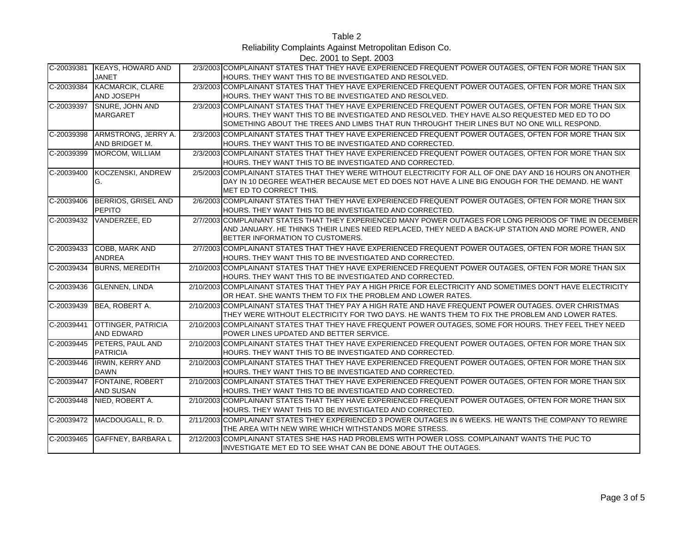Table 2

Reliability Complaints Against Metropolitan Edison Co.

Dec. 2001 to Sept. 2003

| C-20039381     | <b>KEAYS, HOWARD AND</b><br><b>JANET</b>       | 2/3/2003 COMPLAINANT STATES THAT THEY HAVE EXPERIENCED FREQUENT POWER OUTAGES, OFTEN FOR MORE THAN SIX<br>HOURS. THEY WANT THIS TO BE INVESTIGATED AND RESOLVED.                                                                                                                                     |
|----------------|------------------------------------------------|------------------------------------------------------------------------------------------------------------------------------------------------------------------------------------------------------------------------------------------------------------------------------------------------------|
| C-20039384     | <b>KACMARCIK, CLARE</b><br><b>AND JOSEPH</b>   | 2/3/2003 COMPLAINANT STATES THAT THEY HAVE EXPERIENCED FREQUENT POWER OUTAGES, OFTEN FOR MORE THAN SIX<br>HOURS. THEY WANT THIS TO BE INVESTIGATED AND RESOLVED.                                                                                                                                     |
| C-20039397     | <b>SNURE, JOHN AND</b><br><b>MARGARET</b>      | 2/3/2003 COMPLAINANT STATES THAT THEY HAVE EXPERIENCED FREQUENT POWER OUTAGES, OFTEN FOR MORE THAN SIX<br>HOURS. THEY WANT THIS TO BE INVESTIGATED AND RESOLVED. THEY HAVE ALSO REQUESTED MED ED TO DO<br>SOMETHING ABOUT THE TREES AND LIMBS THAT RUN THROUGHT THEIR LINES BUT NO ONE WILL RESPOND. |
| C-20039398     | ARMSTRONG, JERRY A.<br>AND BRIDGET M.          | 2/3/2003 COMPLAINANT STATES THAT THEY HAVE EXPERIENCED FREQUENT POWER OUTAGES, OFTEN FOR MORE THAN SIX<br>HOURS. THEY WANT THIS TO BE INVESTIGATED AND CORRECTED.                                                                                                                                    |
| C-20039399     | MORCOM, WILLIAM                                | 2/3/2003 COMPLAINANT STATES THAT THEY HAVE EXPERIENCED FREQUENT POWER OUTAGES, OFTEN FOR MORE THAN SIX<br>HOURS. THEY WANT THIS TO BE INVESTIGATED AND CORRECTED.                                                                                                                                    |
| C-20039400     | KOCZENSKI, ANDREW<br>IG.                       | 2/5/2003 COMPLAINANT STATES THAT THEY WERE WITHOUT ELECTRICITY FOR ALL OF ONE DAY AND 16 HOURS ON ANOTHER<br>DAY IN 10 DEGREE WEATHER BECAUSE MET ED DOES NOT HAVE A LINE BIG ENOUGH FOR THE DEMAND. HE WANT<br>MET ED TO CORRECT THIS.                                                              |
| $C - 20039406$ | BERRIOS, GRISEL AND<br>PEPITO                  | 2/6/2003 COMPLAINANT STATES THAT THEY HAVE EXPERIENCED FREQUENT POWER OUTAGES, OFTEN FOR MORE THAN SIX<br>HOURS. THEY WANT THIS TO BE INVESTIGATED AND CORRECTED.                                                                                                                                    |
| C-20039432     | VANDERZEE, ED                                  | 2/7/2003 COMPLAINANT STATES THAT THEY EXPERIENCED MANY POWER OUTAGES FOR LONG PERIODS OF TIME IN DECEMBER<br>AND JANUARY. HE THINKS THEIR LINES NEED REPLACED, THEY NEED A BACK-UP STATION AND MORE POWER, AND<br>BETTER INFORMATION TO CUSTOMERS.                                                   |
| C-20039433     | <b>COBB, MARK AND</b><br><b>ANDREA</b>         | 2/7/2003 COMPLAINANT STATES THAT THEY HAVE EXPERIENCED FREQUENT POWER OUTAGES, OFTEN FOR MORE THAN SIX<br>HOURS. THEY WANT THIS TO BE INVESTIGATED AND CORRECTED.                                                                                                                                    |
| C-20039434     | <b>BURNS, MEREDITH</b>                         | 2/10/2003 COMPLAINANT STATES THAT THEY HAVE EXPERIENCED FREQUENT POWER OUTAGES, OFTEN FOR MORE THAN SIX<br>HOURS. THEY WANT THIS TO BE INVESTIGATED AND CORRECTED.                                                                                                                                   |
| C-20039436     | <b>GLENNEN, LINDA</b>                          | 2/10/2003 COMPLAINANT STATES THAT THEY PAY A HIGH PRICE FOR ELECTRICITY AND SOMETIMES DON'T HAVE ELECTRICITY<br>OR HEAT. SHE WANTS THEM TO FIX THE PROBLEM AND LOWER RATES.                                                                                                                          |
| C-20039439     | BEA, ROBERT A.                                 | 2/10/2003 COMPLAINANT STATES THAT THEY PAY A HIGH RATE AND HAVE FREQUENT POWER OUTAGES. OVER CHRISTMAS<br>THEY WERE WITHOUT ELECTRICITY FOR TWO DAYS. HE WANTS THEM TO FIX THE PROBLEM AND LOWER RATES.                                                                                              |
| C-20039441     | <b>OTTINGER, PATRICIA</b><br><b>AND EDWARD</b> | 2/10/2003 COMPLAINANT STATES THAT THEY HAVE FREQUENT POWER OUTAGES, SOME FOR HOURS. THEY FEEL THEY NEED<br>POWER LINES UPDATED AND BETTER SERVICE.                                                                                                                                                   |
| $C - 20039445$ | PETERS, PAUL AND<br><b>PATRICIA</b>            | 2/10/2003 COMPLAINANT STATES THAT THEY HAVE EXPERIENCED FREQUENT POWER OUTAGES, OFTEN FOR MORE THAN SIX<br>HOURS. THEY WANT THIS TO BE INVESTIGATED AND CORRECTED.                                                                                                                                   |
| C-20039446     | <b>IRWIN, KERRY AND</b><br><b>DAWN</b>         | 2/10/2003 COMPLAINANT STATES THAT THEY HAVE EXPERIENCED FREQUENT POWER OUTAGES, OFTEN FOR MORE THAN SIX<br>HOURS. THEY WANT THIS TO BE INVESTIGATED AND CORRECTED.                                                                                                                                   |
| C-20039447     | <b>FONTAINE, ROBERT</b><br><b>AND SUSAN</b>    | 2/10/2003 COMPLAINANT STATES THAT THEY HAVE EXPERIENCED FREQUENT POWER OUTAGES, OFTEN FOR MORE THAN SIX<br>HOURS. THEY WANT THIS TO BE INVESTIGATED AND CORRECTED.                                                                                                                                   |
| C-20039448     | NIED, ROBERT A.                                | 2/10/2003 COMPLAINANT STATES THAT THEY HAVE EXPERIENCED FREQUENT POWER OUTAGES, OFTEN FOR MORE THAN SIX<br>HOURS. THEY WANT THIS TO BE INVESTIGATED AND CORRECTED.                                                                                                                                   |
| C-20039472     | MACDOUGALL, R. D.                              | 2/11/2003 COMPLAINANT STATES THEY EXPERIENCED 3 POWER OUTAGES IN 6 WEEKS. HE WANTS THE COMPANY TO REWIRE<br>THE AREA WITH NEW WIRE WHICH WITHSTANDS MORE STRESS.                                                                                                                                     |
| C-20039465     | <b>GAFFNEY, BARBARAL</b>                       | 2/12/2003 COMPLAINANT STATES SHE HAS HAD PROBLEMS WITH POWER LOSS. COMPLAINANT WANTS THE PUC TO<br>INVESTIGATE MET ED TO SEE WHAT CAN BE DONE ABOUT THE OUTAGES.                                                                                                                                     |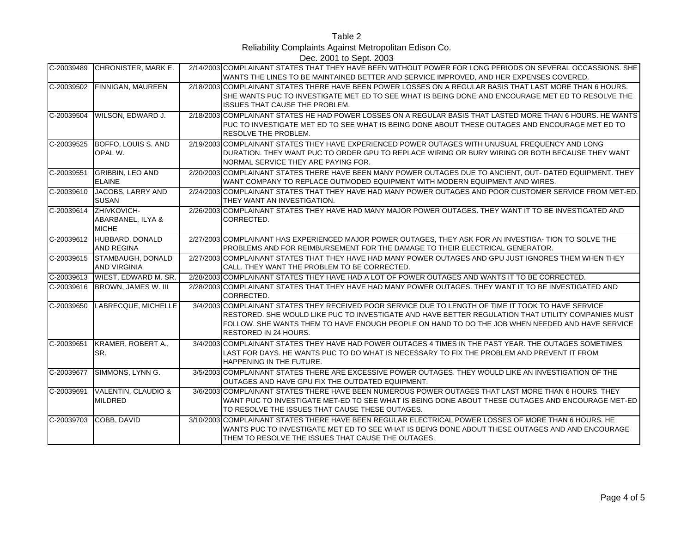Table 2

Reliability Complaints Against Metropolitan Edison Co.

Dec. 2001 to Sept. 2003

|              |                                                  | <b>DUG. ZUUT IU OUDI. ZUUJ</b>                                                                                                                                                                                                                                                                                                                |
|--------------|--------------------------------------------------|-----------------------------------------------------------------------------------------------------------------------------------------------------------------------------------------------------------------------------------------------------------------------------------------------------------------------------------------------|
| C-20039489   | CHRONISTER, MARK E.                              | 2/14/2003 COMPLAINANT STATES THAT THEY HAVE BEEN WITHOUT POWER FOR LONG PERIODS ON SEVERAL OCCASSIONS. SHE<br>WANTS THE LINES TO BE MAINTAINED BETTER AND SERVICE IMPROVED, AND HER EXPENSES COVERED.                                                                                                                                         |
| C-20039502   | <b>FINNIGAN, MAUREEN</b>                         | 2/18/2003 COMPLAINANT STATES THERE HAVE BEEN POWER LOSSES ON A REGULAR BASIS THAT LAST MORE THAN 6 HOURS.<br>SHE WANTS PUC TO INVESTIGATE MET ED TO SEE WHAT IS BEING DONE AND ENCOURAGE MET ED TO RESOLVE THE<br><b>ISSUES THAT CAUSE THE PROBLEM.</b>                                                                                       |
| C-20039504   | WILSON, EDWARD J.                                | 2/18/2003 COMPLAINANT STATES HE HAD POWER LOSSES ON A REGULAR BASIS THAT LASTED MORE THAN 6 HOURS. HE WANTS<br>PUC TO INVESTIGATE MET ED TO SEE WHAT IS BEING DONE ABOUT THESE OUTAGES AND ENCOURAGE MET ED TO<br><b>RESOLVE THE PROBLEM.</b>                                                                                                 |
| C-20039525   | BOFFO, LOUIS S. AND<br>OPAL W.                   | 2/19/2003 COMPLAINANT STATES THEY HAVE EXPERIENCED POWER OUTAGES WITH UNUSUAL FREQUENCY AND LONG<br>DURATION. THEY WANT PUC TO ORDER GPU TO REPLACE WIRING OR BURY WIRING OR BOTH BECAUSE THEY WANT<br>INORMAL SERVICE THEY ARE PAYING FOR.                                                                                                   |
| C-20039551   | <b>GRIBBIN, LEO AND</b><br><b>ELAINE</b>         | 2/20/2003 COMPLAINANT STATES THERE HAVE BEEN MANY POWER OUTAGES DUE TO ANCIENT, OUT-DATED EQUIPMENT. THEY<br>WANT COMPANY TO REPLACE OUTMODED EQUIPMENT WITH MODERN EQUIPMENT AND WIRES.                                                                                                                                                      |
| C-20039610   | JACOBS, LARRY AND<br><b>SUSAN</b>                | 2/24/2003 COMPLAINANT STATES THAT THEY HAVE HAD MANY POWER OUTAGES AND POOR CUSTOMER SERVICE FROM MET-ED.<br>THEY WANT AN INVESTIGATION.                                                                                                                                                                                                      |
| C-20039614   | ZHIVKOVICH-<br>ABARBANEL, ILYA &<br><b>MICHE</b> | 2/26/2003 COMPLAINANT STATES THEY HAVE HAD MANY MAJOR POWER OUTAGES. THEY WANT IT TO BE INVESTIGATED AND<br>CORRECTED.                                                                                                                                                                                                                        |
| C-20039612   | HUBBARD, DONALD<br><b>AND REGINA</b>             | 2/27/2003 COMPLAINANT HAS EXPERIENCED MAJOR POWER OUTAGES. THEY ASK FOR AN INVESTIGA- TION TO SOLVE THE<br>PROBLEMS AND FOR REIMBURSEMENT FOR THE DAMAGE TO THEIR ELECTRICAL GENERATOR.                                                                                                                                                       |
| C-20039615   | STAMBAUGH, DONALD<br><b>AND VIRGINIA</b>         | 2/27/2003 COMPLAINANT STATES THAT THEY HAVE HAD MANY POWER OUTAGES AND GPU JUST IGNORES THEM WHEN THEY<br>CALL. THEY WANT THE PROBLEM TO BE CORRECTED.                                                                                                                                                                                        |
| C-20039613   | <b>WIEST, EDWARD M. SR.</b>                      | 2/28/2003 COMPLAINANT STATES THEY HAVE HAD A LOT OF POWER OUTAGES AND WANTS IT TO BE CORRECTED.                                                                                                                                                                                                                                               |
| C-20039616   | BROWN, JAMES W. III                              | 2/28/2003 COMPLAINANT STATES THAT THEY HAVE HAD MANY POWER OUTAGES. THEY WANT IT TO BE INVESTIGATED AND<br>CORRECTED.                                                                                                                                                                                                                         |
| C-20039650   | LABRECQUE, MICHELLE                              | 3/4/2003 COMPLAINANT STATES THEY RECEIVED POOR SERVICE DUE TO LENGTH OF TIME IT TOOK TO HAVE SERVICE<br>RESTORED. SHE WOULD LIKE PUC TO INVESTIGATE AND HAVE BETTER REGULATION THAT UTILITY COMPANIES MUST<br>FOLLOW. SHE WANTS THEM TO HAVE ENOUGH PEOPLE ON HAND TO DO THE JOB WHEN NEEDED AND HAVE SERVICE<br><b>RESTORED IN 24 HOURS.</b> |
| $C-20039651$ | KRAMER, ROBERT A.,<br>ISR.                       | 3/4/2003 COMPLAINANT STATES THEY HAVE HAD POWER OUTAGES 4 TIMES IN THE PAST YEAR. THE OUTAGES SOMETIMES<br>LAST FOR DAYS. HE WANTS PUC TO DO WHAT IS NECESSARY TO FIX THE PROBLEM AND PREVENT IT FROM<br><b>HAPPENING IN THE FUTURE.</b>                                                                                                      |
| C-20039677   | SIMMONS, LYNN G.                                 | 3/5/2003 COMPLAINANT STATES THERE ARE EXCESSIVE POWER OUTAGES. THEY WOULD LIKE AN INVESTIGATION OF THE<br>OUTAGES AND HAVE GPU FIX THE OUTDATED EQUIPMENT.                                                                                                                                                                                    |
| C-20039691   | VALENTIN, CLAUDIO &<br><b>MILDRED</b>            | 3/6/2003 COMPLAINANT STATES THERE HAVE BEEN NUMEROUS POWER OUTAGES THAT LAST MORE THAN 6 HOURS. THEY<br>WANT PUC TO INVESTIGATE MET-ED TO SEE WHAT IS BEING DONE ABOUT THESE OUTAGES AND ENCOURAGE MET-ED<br>TO RESOLVE THE ISSUES THAT CAUSE THESE OUTAGES.                                                                                  |
| C-20039703   | COBB, DAVID                                      | 3/10/2003 COMPLAINANT STATES THERE HAVE BEEN REGULAR ELECTRICAL POWER LOSSES OF MORE THAN 6 HOURS. HE<br>WANTS PUC TO INVESTIGATE MET ED TO SEE WHAT IS BEING DONE ABOUT THESE OUTAGES AND AND ENCOURAGE<br>THEM TO RESOLVE THE ISSUES THAT CAUSE THE OUTAGES.                                                                                |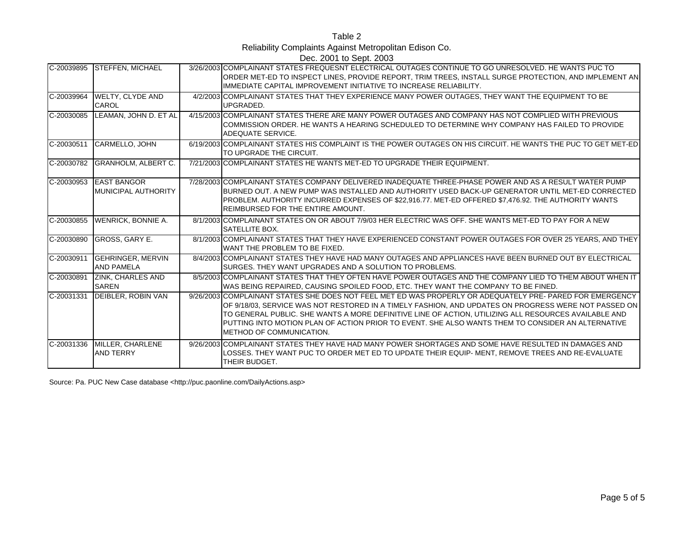Table 2 Reliability Complaints Against Metropolitan Edison Co. Dec. 2001 to Sept. 2003

| C-20039895   | <b>STEFFEN, MICHAEL</b>                          | 3/26/2003 COMPLAINANT STATES FREQUESNT ELECTRICAL OUTAGES CONTINUE TO GO UNRESOLVED. HE WANTS PUC TO<br>ORDER MET-ED TO INSPECT LINES. PROVIDE REPORT. TRIM TREES. INSTALL SURGE PROTECTION. AND IMPLEMENT AN<br>IMMEDIATE CAPITAL IMPROVEMENT INITIATIVE TO INCREASE RELIABILITY.                                                                                                                                                                         |
|--------------|--------------------------------------------------|------------------------------------------------------------------------------------------------------------------------------------------------------------------------------------------------------------------------------------------------------------------------------------------------------------------------------------------------------------------------------------------------------------------------------------------------------------|
| C-20039964   | WELTY, CLYDE AND<br><b>CAROL</b>                 | 4/2/2003 COMPLAINANT STATES THAT THEY EXPERIENCE MANY POWER OUTAGES. THEY WANT THE EQUIPMENT TO BE<br>UPGRADED.                                                                                                                                                                                                                                                                                                                                            |
| C-20030085   | LEAMAN, JOHN D. ET AL                            | 4/15/2003 COMPLAINANT STATES THERE ARE MANY POWER OUTAGES AND COMPANY HAS NOT COMPLIED WITH PREVIOUS<br>COMMISSION ORDER. HE WANTS A HEARING SCHEDULED TO DETERMINE WHY COMPANY HAS FAILED TO PROVIDE<br>ADEQUATE SERVICE.                                                                                                                                                                                                                                 |
| C-20030511   | <b>CARMELLO, JOHN</b>                            | 6/19/2003 COMPLAINANT STATES HIS COMPLAINT IS THE POWER OUTAGES ON HIS CIRCUIT. HE WANTS THE PUC TO GET MET-ED<br>TO UPGRADE THE CIRCUIT.                                                                                                                                                                                                                                                                                                                  |
| C-20030782   | <b>GRANHOLM, ALBERT C.</b>                       | 7/21/2003 COMPLAINANT STATES HE WANTS MET-ED TO UPGRADE THEIR EQUIPMENT.                                                                                                                                                                                                                                                                                                                                                                                   |
| C-20030953   | <b>EAST BANGOR</b><br><b>MUNICIPAL AUTHORITY</b> | 7/28/2003 COMPLAINANT STATES COMPANY DELIVERED INADEQUATE THREE-PHASE POWER AND AS A RESULT WATER PUMP<br>BURNED OUT. A NEW PUMP WAS INSTALLED AND AUTHORITY USED BACK-UP GENERATOR UNTIL MET-ED CORRECTED<br>PROBLEM. AUTHORITY INCURRED EXPENSES OF \$22,916.77. MET-ED OFFERED \$7,476.92. THE AUTHORITY WANTS<br><b>REIMBURSED FOR THE ENTIRE AMOUNT.</b>                                                                                              |
| $C-20030855$ | <b>WENRICK, BONNIE A.</b>                        | 8/1/2003 COMPLAINANT STATES ON OR ABOUT 7/9/03 HER ELECTRIC WAS OFF. SHE WANTS MET-ED TO PAY FOR A NEW<br><b>SATELLITE BOX.</b>                                                                                                                                                                                                                                                                                                                            |
| C-20030890   | GROSS, GARY E.                                   | 8/1/2003 COMPLAINANT STATES THAT THEY HAVE EXPERIENCED CONSTANT POWER OUTAGES FOR OVER 25 YEARS, AND THEY<br>WANT THE PROBLEM TO BE FIXED.                                                                                                                                                                                                                                                                                                                 |
| $C-20030911$ | <b>GEHRINGER, MERVIN</b><br><b>AND PAMELA</b>    | 8/4/2003 COMPLAINANT STATES THEY HAVE HAD MANY OUTAGES AND APPLIANCES HAVE BEEN BURNED OUT BY ELECTRICAL<br>SURGES. THEY WANT UPGRADES AND A SOLUTION TO PROBLEMS.                                                                                                                                                                                                                                                                                         |
| C-20030891   | <b>ZINK, CHARLES AND</b><br><b>SAREN</b>         | 8/5/2003 COMPLAINANT STATES THAT THEY OFTEN HAVE POWER OUTAGES AND THE COMPANY LIED TO THEM ABOUT WHEN IT<br>WAS BEING REPAIRED, CAUSING SPOILED FOOD, ETC. THEY WANT THE COMPANY TO BE FINED.                                                                                                                                                                                                                                                             |
| C-20031331   | <b>DEIBLER, ROBIN VAN</b>                        | 9/26/2003 COMPLAINANT STATES SHE DOES NOT FEEL MET ED WAS PROPERLY OR ADEQUATELY PRE- PARED FOR EMERGENCY<br>OF 9/18/03, SERVICE WAS NOT RESTORED IN A TIMELY FASHION, AND UPDATES ON PROGRESS WERE NOT PASSED ON<br>TO GENERAL PUBLIC. SHE WANTS A MORE DEFINITIVE LINE OF ACTION. UTILIZING ALL RESOURCES AVAILABLE AND<br>PUTTING INTO MOTION PLAN OF ACTION PRIOR TO EVENT. SHE ALSO WANTS THEM TO CONSIDER AN ALTERNATIVE<br>METHOD OF COMMUNICATION. |
| C-20031336   | MILLER, CHARLENE<br><b>AND TERRY</b>             | 9/26/2003 COMPLAINANT STATES THEY HAVE HAD MANY POWER SHORTAGES AND SOME HAVE RESULTED IN DAMAGES AND<br>LOSSES. THEY WANT PUC TO ORDER MET ED TO UPDATE THEIR EQUIP- MENT, REMOVE TREES AND RE-EVALUATE<br>THEIR BUDGET.                                                                                                                                                                                                                                  |

Source: Pa. PUC New Case database <http://puc.paonline.com/DailyActions.asp>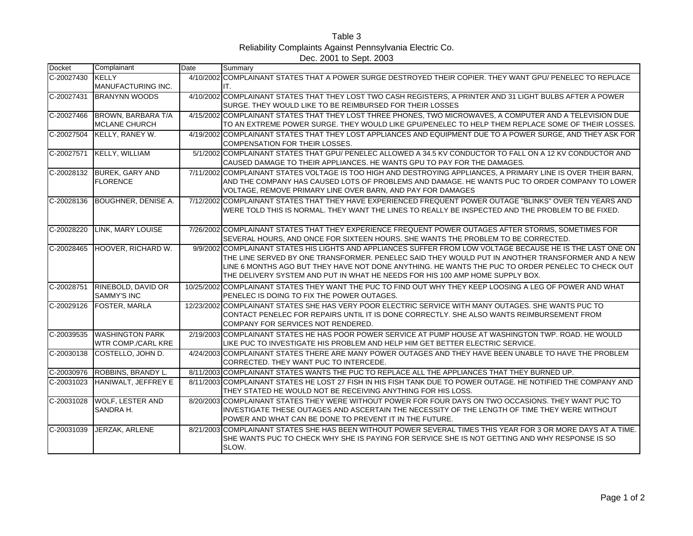| Table 3                                                  |
|----------------------------------------------------------|
| Reliability Complaints Against Pennsylvania Electric Co. |
| Dec. 2001 to Sept. 2003                                  |

| <b>Docket</b> | Complainant                                         | Date | Summary                                                                                                                                                                                                          |
|---------------|-----------------------------------------------------|------|------------------------------------------------------------------------------------------------------------------------------------------------------------------------------------------------------------------|
| C-20027430    | <b>KELLY</b>                                        |      | 4/10/2002 COMPLAINANT STATES THAT A POWER SURGE DESTROYED THEIR COPIER. THEY WANT GPU/ PENELEC TO REPLACE                                                                                                        |
|               | MANUFACTURING INC.                                  |      | IT.                                                                                                                                                                                                              |
| C-20027431    | <b>BRANYNN WOODS</b>                                |      | 4/10/2002 COMPLAINANT STATES THAT THEY LOST TWO CASH REGISTERS, A PRINTER AND 31 LIGHT BULBS AFTER A POWER                                                                                                       |
|               |                                                     |      | SURGE. THEY WOULD LIKE TO BE REIMBURSED FOR THEIR LOSSES                                                                                                                                                         |
| C-20027466    | <b>BROWN, BARBARA T/A</b>                           |      | 4/15/2002 COMPLAINANT STATES THAT THEY LOST THREE PHONES, TWO MICROWAVES, A COMPUTER AND A TELEVISION DUE                                                                                                        |
|               | <b>MCLANE CHURCH</b>                                |      | TO AN EXTREME POWER SURGE. THEY WOULD LIKE GPU/PENELEC TO HELP THEM REPLACE SOME OF THEIR LOSSES.                                                                                                                |
| C-20027504    | KELLY, RANEY W.                                     |      | 4/19/2002 COMPLAINANT STATES THAT THEY LOST APPLIANCES AND EQUIPMENT DUE TO A POWER SURGE. AND THEY ASK FOR<br>COMPENSATION FOR THEIR LOSSES.                                                                    |
| C-20027571    | <b>KELLY, WILLIAM</b>                               |      | 5/1/2002 COMPLAINANT STATES THAT GPU/ PENELEC ALLOWED A 34.5 KV CONDUCTOR TO FALL ON A 12 KV CONDUCTOR AND<br>CAUSED DAMAGE TO THEIR APPLIANCES. HE WANTS GPU TO PAY FOR THE DAMAGES.                            |
| C-20028132    | <b>BUREK, GARY AND</b><br><b>FLORENCE</b>           |      | 7/11/2002 COMPLAINANT STATES VOLTAGE IS TOO HIGH AND DESTROYING APPLIANCES. A PRIMARY LINE IS OVER THEIR BARN.<br>AND THE COMPANY HAS CAUSED LOTS OF PROBLEMS AND DAMAGE. HE WANTS PUC TO ORDER COMPANY TO LOWER |
|               |                                                     |      | VOLTAGE, REMOVE PRIMARY LINE OVER BARN, AND PAY FOR DAMAGES                                                                                                                                                      |
| C-20028136    | <b>BOUGHNER, DENISE A.</b>                          |      | 7/12/2002 COMPLAINANT STATES THAT THEY HAVE EXPERIENCED FREQUENT POWER OUTAGE "BLINKS" OVER TEN YEARS AND<br>WERE TOLD THIS IS NORMAL. THEY WANT THE LINES TO REALLY BE INSPECTED AND THE PROBLEM TO BE FIXED.   |
|               |                                                     |      |                                                                                                                                                                                                                  |
| C-20028220    | <b>LINK. MARY LOUISE</b>                            |      | 7/26/2002 COMPLAINANT STATES THAT THEY EXPERIENCE FREQUENT POWER OUTAGES AFTER STORMS. SOMETIMES FOR<br>SEVERAL HOURS, AND ONCE FOR SIXTEEN HOURS. SHE WANTS THE PROBLEM TO BE CORRECTED.                        |
| C-20028465    | HOOVER, RICHARD W.                                  |      | 9/9/2002 COMPLAINANT STATES HIS LIGHTS AND APPLIANCES SUFFER FROM LOW VOLTAGE BECAUSE HE IS THE LAST ONE ON                                                                                                      |
|               |                                                     |      | THE LINE SERVED BY ONE TRANSFORMER. PENELEC SAID THEY WOULD PUT IN ANOTHER TRANSFORMER AND A NEW                                                                                                                 |
|               |                                                     |      | LINE 6 MONTHS AGO BUT THEY HAVE NOT DONE ANYTHING. HE WANTS THE PUC TO ORDER PENELEC TO CHECK OUT                                                                                                                |
|               |                                                     |      | THE DELIVERY SYSTEM AND PUT IN WHAT HE NEEDS FOR HIS 100 AMP HOME SUPPLY BOX.                                                                                                                                    |
| C-20028751    | RINEBOLD, DAVID OR                                  |      | 10/25/2002 COMPLAINANT STATES THEY WANT THE PUC TO FIND OUT WHY THEY KEEP LOOSING A LEG OF POWER AND WHAT                                                                                                        |
|               | <b>SAMMY'S INC</b>                                  |      | PENELEC IS DOING TO FIX THE POWER OUTAGES.                                                                                                                                                                       |
| C-20029126    | <b>FOSTER, MARLA</b>                                |      | 12/23/2002 COMPLAINANT STATES SHE HAS VERY POOR ELECTRIC SERVICE WITH MANY OUTAGES. SHE WANTS PUC TO                                                                                                             |
|               |                                                     |      | CONTACT PENELEC FOR REPAIRS UNTIL IT IS DONE CORRECTLY. SHE ALSO WANTS REIMBURSEMENT FROM                                                                                                                        |
|               |                                                     |      | COMPANY FOR SERVICES NOT RENDERED.                                                                                                                                                                               |
| C-20039535    | <b>WASHINGTON PARK</b><br><b>WTR COMP./CARL KRE</b> |      | 2/19/2003 COMPLAINANT STATES HE HAS POOR POWER SERVICE AT PUMP HOUSE AT WASHINGTON TWP. ROAD. HE WOULD<br>LIKE PUC TO INVESTIGATE HIS PROBLEM AND HELP HIM GET BETTER ELECTRIC SERVICE.                          |
| C-20030138    | COSTELLO, JOHN D.                                   |      | 4/24/2003 COMPLAINANT STATES THERE ARE MANY POWER OUTAGES AND THEY HAVE BEEN UNABLE TO HAVE THE PROBLEM                                                                                                          |
|               |                                                     |      | CORRECTED. THEY WANT PUC TO INTERCEDE.                                                                                                                                                                           |
| C-20030976    | ROBBINS, BRANDY L.                                  |      | 8/11/2003 COMPLAINANT STATES WANTS THE PUC TO REPLACE ALL THE APPLIANCES THAT THEY BURNED UP.                                                                                                                    |
| C-20031023    | HANIWALT, JEFFREY E                                 |      | 8/11/2003 COMPLAINANT STATES HE LOST 27 FISH IN HIS FISH TANK DUE TO POWER OUTAGE. HE NOTIFIED THE COMPANY AND<br>THEY STATED HE WOULD NOT BE RECEIVING ANYTHING FOR HIS LOSS.                                   |
| C-20031028    | <b>WOLF, LESTER AND</b>                             |      | 8/20/2003 COMPLAINANT STATES THEY WERE WITHOUT POWER FOR FOUR DAYS ON TWO OCCASIONS. THEY WANT PUC TO                                                                                                            |
|               | SANDRA H.                                           |      | INVESTIGATE THESE OUTAGES AND ASCERTAIN THE NECESSITY OF THE LENGTH OF TIME THEY WERE WITHOUT                                                                                                                    |
|               |                                                     |      | POWER AND WHAT CAN BE DONE TO PREVENT IT IN THE FUTURE.                                                                                                                                                          |
| C-20031039    | JERZAK, ARLENE                                      |      | 8/21/2003 COMPLAINANT STATES SHE HAS BEEN WITHOUT POWER SEVERAL TIMES THIS YEAR FOR 3 OR MORE DAYS AT A TIME.                                                                                                    |
|               |                                                     |      | SHE WANTS PUC TO CHECK WHY SHE IS PAYING FOR SERVICE SHE IS NOT GETTING AND WHY RESPONSE IS SO                                                                                                                   |
|               |                                                     |      | SLOW.                                                                                                                                                                                                            |